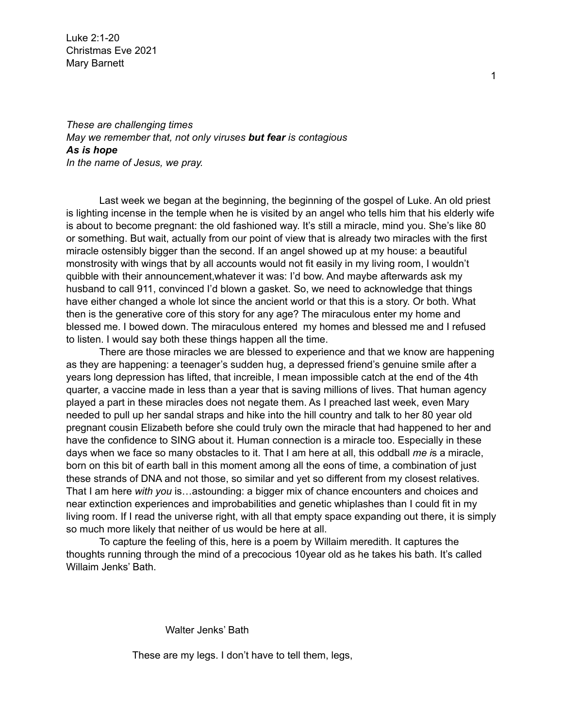Luke 2:1-20 Christmas Eve 2021 Mary Barnett

*These are challenging times May we remember that, not only viruses but fear is contagious As is hope In the name of Jesus, we pray.*

Last week we began at the beginning, the beginning of the gospel of Luke. An old priest is lighting incense in the temple when he is visited by an angel who tells him that his elderly wife is about to become pregnant: the old fashioned way. It's still a miracle, mind you. She's like 80 or something. But wait, actually from our point of view that is already two miracles with the first miracle ostensibly bigger than the second. If an angel showed up at my house: a beautiful monstrosity with wings that by all accounts would not fit easily in my living room, I wouldn't quibble with their announcement,whatever it was: I'd bow. And maybe afterwards ask my husband to call 911, convinced I'd blown a gasket. So, we need to acknowledge that things have either changed a whole lot since the ancient world or that this is a story. Or both. What then is the generative core of this story for any age? The miraculous enter my home and blessed me. I bowed down. The miraculous entered my homes and blessed me and I refused to listen. I would say both these things happen all the time.

There are those miracles we are blessed to experience and that we know are happening as they are happening: a teenager's sudden hug, a depressed friend's genuine smile after a years long depression has lifted, that increible, I mean impossible catch at the end of the 4th quarter, a vaccine made in less than a year that is saving millions of lives. That human agency played a part in these miracles does not negate them. As I preached last week, even Mary needed to pull up her sandal straps and hike into the hill country and talk to her 80 year old pregnant cousin Elizabeth before she could truly own the miracle that had happened to her and have the confidence to SING about it. Human connection is a miracle too. Especially in these days when we face so many obstacles to it. That I am here at all, this oddball *me i*s a miracle, born on this bit of earth ball in this moment among all the eons of time, a combination of just these strands of DNA and not those, so similar and yet so different from my closest relatives. That I am here *with you* is…astounding: a bigger mix of chance encounters and choices and near extinction experiences and improbabilities and genetic whiplashes than I could fit in my living room. If I read the universe right, with all that empty space expanding out there, it is simply so much more likely that neither of us would be here at all.

To capture the feeling of this, here is a poem by Willaim meredith. It captures the thoughts running through the mind of a precocious 10year old as he takes his bath. It's called Willaim Jenks' Bath.

Walter Jenks' Bath

These are my legs. I don't have to tell them, legs,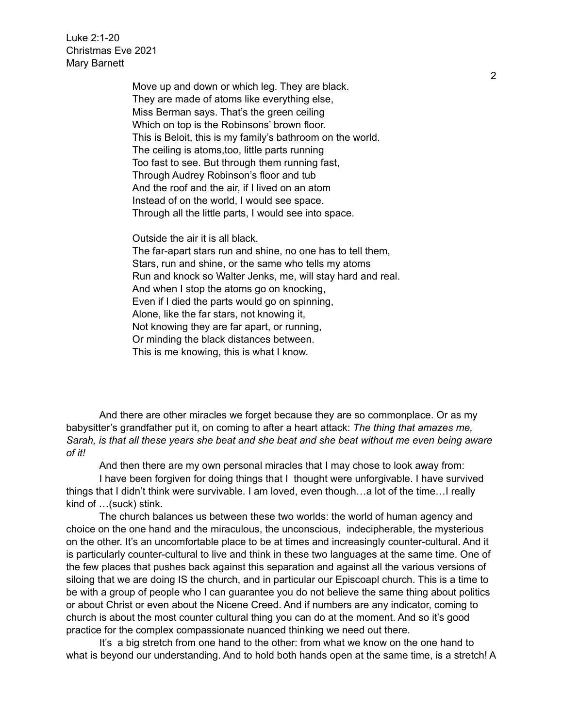Luke 2:1-20 Christmas Eve 2021 Mary Barnett

> Move up and down or which leg. They are black. They are made of atoms like everything else, Miss Berman says. That's the green ceiling Which on top is the Robinsons' brown floor. This is Beloit, this is my family's bathroom on the world. The ceiling is atoms,too, little parts running Too fast to see. But through them running fast, Through Audrey Robinson's floor and tub And the roof and the air, if I lived on an atom Instead of on the world, I would see space. Through all the little parts, I would see into space.

Outside the air it is all black.

The far-apart stars run and shine, no one has to tell them, Stars, run and shine, or the same who tells my atoms Run and knock so Walter Jenks, me, will stay hard and real. And when I stop the atoms go on knocking, Even if I died the parts would go on spinning, Alone, like the far stars, not knowing it, Not knowing they are far apart, or running, Or minding the black distances between. This is me knowing, this is what I know.

And there are other miracles we forget because they are so commonplace. Or as my babysitter's grandfather put it, on coming to after a heart attack: *The thing that amazes me, Sarah, is that all these years she beat and she beat and she beat without me even being aware of it!*

And then there are my own personal miracles that I may chose to look away from:

I have been forgiven for doing things that I thought were unforgivable. I have survived things that I didn't think were survivable. I am loved, even though…a lot of the time…I really kind of …(suck) stink.

The church balances us between these two worlds: the world of human agency and choice on the one hand and the miraculous, the unconscious, indecipherable, the mysterious on the other. It's an uncomfortable place to be at times and increasingly counter-cultural. And it is particularly counter-cultural to live and think in these two languages at the same time. One of the few places that pushes back against this separation and against all the various versions of siloing that we are doing IS the church, and in particular our Episcoapl church. This is a time to be with a group of people who I can guarantee you do not believe the same thing about politics or about Christ or even about the Nicene Creed. And if numbers are any indicator, coming to church is about the most counter cultural thing you can do at the moment. And so it's good practice for the complex compassionate nuanced thinking we need out there.

It's a big stretch from one hand to the other: from what we know on the one hand to what is beyond our understanding. And to hold both hands open at the same time, is a stretch! A